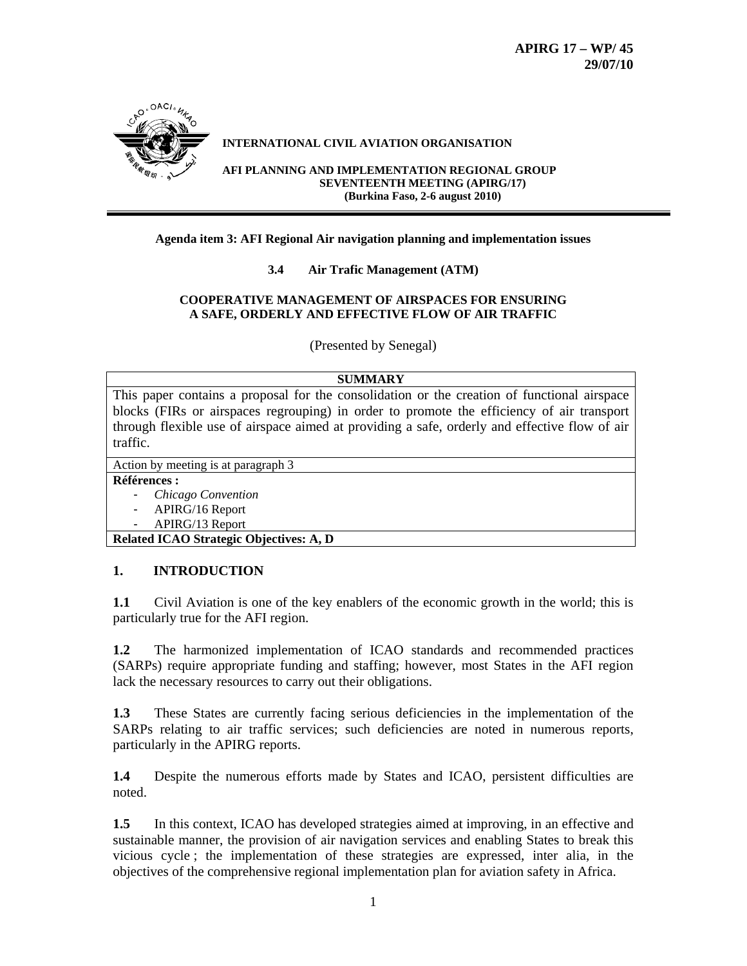

# **INTERNATIONAL CIVIL AVIATION ORGANISATION**

**AFI PLANNING AND IMPLEMENTATION REGIONAL GROUP SEVENTEENTH MEETING (APIRG/17) (Burkina Faso, 2-6 august 2010)**

### **Agenda item 3: AFI Regional Air navigation planning and implementation issues**

**3.4 Air Trafic Management (ATM)** 

## **COOPERATIVE MANAGEMENT OF AIRSPACES FOR ENSURING A SAFE, ORDERLY AND EFFECTIVE FLOW OF AIR TRAFFIC**

(Presented by Senegal)

### **SUMMARY**

This paper contains a proposal for the consolidation or the creation of functional airspace blocks (FIRs or airspaces regrouping) in order to promote the efficiency of air transport through flexible use of airspace aimed at providing a safe, orderly and effective flow of air traffic.

Action by meeting is at paragraph 3

#### **Références :**

- *Chicago Convention*
- APIRG/16 Report
- APIRG/13 Report

**Related ICAO Strategic Objectives: A, D** 

## **1. INTRODUCTION**

**1.1** Civil Aviation is one of the key enablers of the economic growth in the world; this is particularly true for the AFI region.

**1.2** The harmonized implementation of ICAO standards and recommended practices (SARPs) require appropriate funding and staffing; however, most States in the AFI region lack the necessary resources to carry out their obligations.

**1.3** These States are currently facing serious deficiencies in the implementation of the SARPs relating to air traffic services; such deficiencies are noted in numerous reports, particularly in the APIRG reports.

**1.4** Despite the numerous efforts made by States and ICAO, persistent difficulties are noted.

**1.5** In this context, ICAO has developed strategies aimed at improving, in an effective and sustainable manner, the provision of air navigation services and enabling States to break this vicious cycle ; the implementation of these strategies are expressed, inter alia, in the objectives of the comprehensive regional implementation plan for aviation safety in Africa.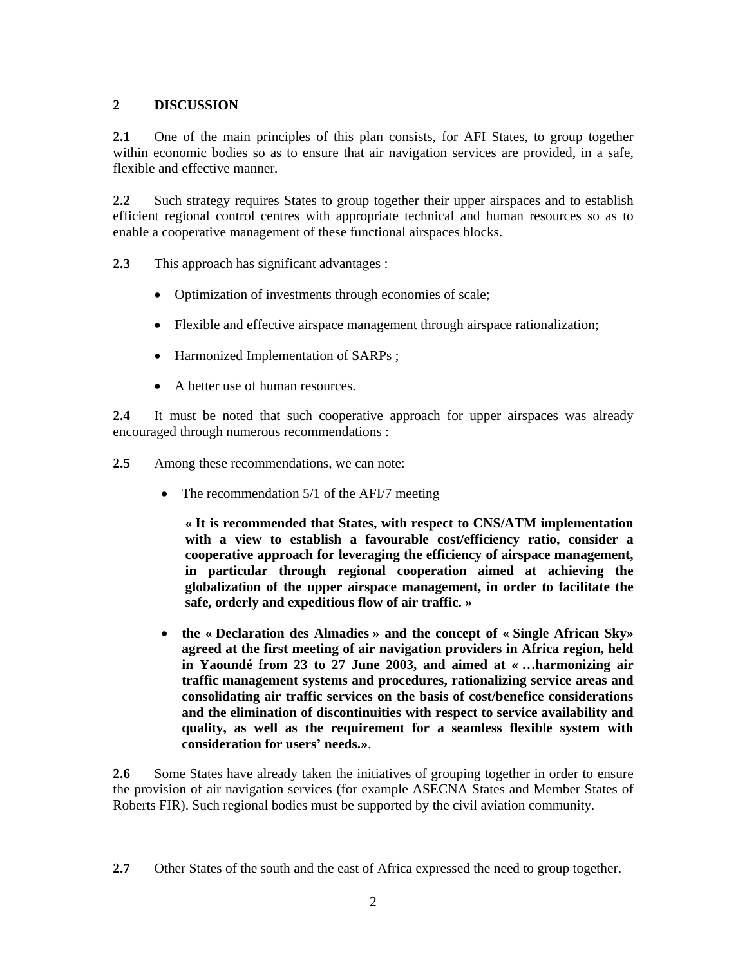# **2 DISCUSSION**

**2.1** One of the main principles of this plan consists, for AFI States, to group together within economic bodies so as to ensure that air navigation services are provided, in a safe, flexible and effective manner*.* 

**2.2** Such strategy requires States to group together their upper airspaces and to establish efficient regional control centres with appropriate technical and human resources so as to enable a cooperative management of these functional airspaces blocks.

- **2.3** This approach has significant advantages :
	- Optimization of investments through economies of scale;
	- Flexible and effective airspace management through airspace rationalization;
	- Harmonized Implementation of SARPs ;
	- A better use of human resources.

**2.4** It must be noted that such cooperative approach for upper airspaces was already encouraged through numerous recommendations :

- **2.5** Among these recommendations, we can note:
	- The recommendation 5/1 of the AFI/7 meeting

**« It is recommended that States, with respect to CNS/ATM implementation with a view to establish a favourable cost/efficiency ratio, consider a cooperative approach for leveraging the efficiency of airspace management, in particular through regional cooperation aimed at achieving the globalization of the upper airspace management, in order to facilitate the safe, orderly and expeditious flow of air traffic. »** 

• **the « Declaration des Almadies » and the concept of « Single African Sky» agreed at the first meeting of air navigation providers in Africa region, held in Yaoundé from 23 to 27 June 2003, and aimed at « …harmonizing air traffic management systems and procedures, rationalizing service areas and consolidating air traffic services on the basis of cost/benefice considerations and the elimination of discontinuities with respect to service availability and quality, as well as the requirement for a seamless flexible system with consideration for users' needs.»**.

**2.6** Some States have already taken the initiatives of grouping together in order to ensure the provision of air navigation services (for example ASECNA States and Member States of Roberts FIR). Such regional bodies must be supported by the civil aviation community*.*

**<sup>2.7</sup>** Other States of the south and the east of Africa expressed the need to group together.